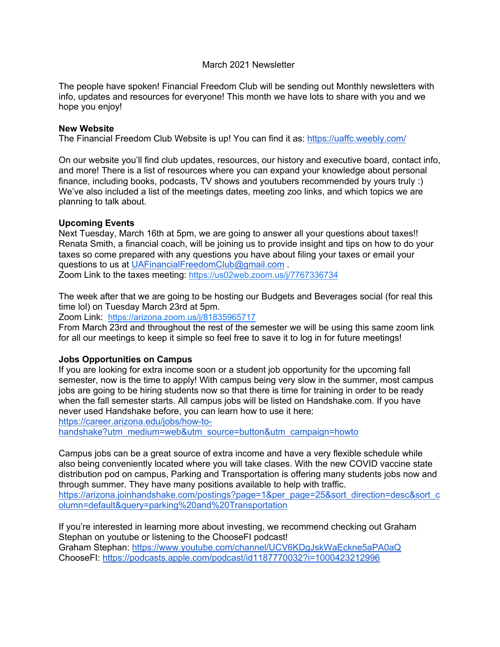## March 2021 Newsletter

The people have spoken! Financial Freedom Club will be sending out Monthly newsletters with info, updates and resources for everyone! This month we have lots to share with you and we hope you enjoy!

#### **New Website**

The Financial Freedom Club Website is up! You can find it as: https://uaffc.weebly.com/

On our website you'll find club updates, resources, our history and executive board, contact info, and more! There is a list of resources where you can expand your knowledge about personal finance, including books, podcasts, TV shows and youtubers recommended by yours truly :) We've also included a list of the meetings dates, meeting zoo links, and which topics we are planning to talk about.

### **Upcoming Events**

Next Tuesday, March 16th at 5pm, we are going to answer all your questions about taxes!! Renata Smith, a financial coach, will be joining us to provide insight and tips on how to do your taxes so come prepared with any questions you have about filing your taxes or email your questions to us at UAFinancialFreedomClub@gmail.com . Zoom Link to the taxes meeting: https://us02web.zoom.us/j/7767336734

The week after that we are going to be hosting our Budgets and Beverages social (for real this time lol) on Tuesday March 23rd at 5pm.

Zoom Link: https://arizona.zoom.us/j/81835965717

From March 23rd and throughout the rest of the semester we will be using this same zoom link for all our meetings to keep it simple so feel free to save it to log in for future meetings!

# **Jobs Opportunities on Campus**

If you are looking for extra income soon or a student job opportunity for the upcoming fall semester, now is the time to apply! With campus being very slow in the summer, most campus jobs are going to be hiring students now so that there is time for training in order to be ready when the fall semester starts. All campus jobs will be listed on Handshake.com. If you have never used Handshake before, you can learn how to use it here:

https://career.arizona.edu/jobs/how-to-

handshake?utm\_medium=web&utm\_source=button&utm\_campaign=howto

Campus jobs can be a great source of extra income and have a very flexible schedule while also being conveniently located where you will take clases. With the new COVID vaccine state distribution pod on campus, Parking and Transportation is offering many students jobs now and through summer. They have many positions available to help with traffic. https://arizona.joinhandshake.com/postings?page=1&per\_page=25&sort\_direction=desc&sort\_c

olumn=default&query=parking%20and%20Transportation

If you're interested in learning more about investing, we recommend checking out Graham Stephan on youtube or listening to the ChooseFI podcast! Graham Stephan: https://www.youtube.com/channel/UCV6KDgJskWaEckne5aPA0aQ ChooseFI: https://podcasts.apple.com/podcast/id1187770032?i=1000423212996